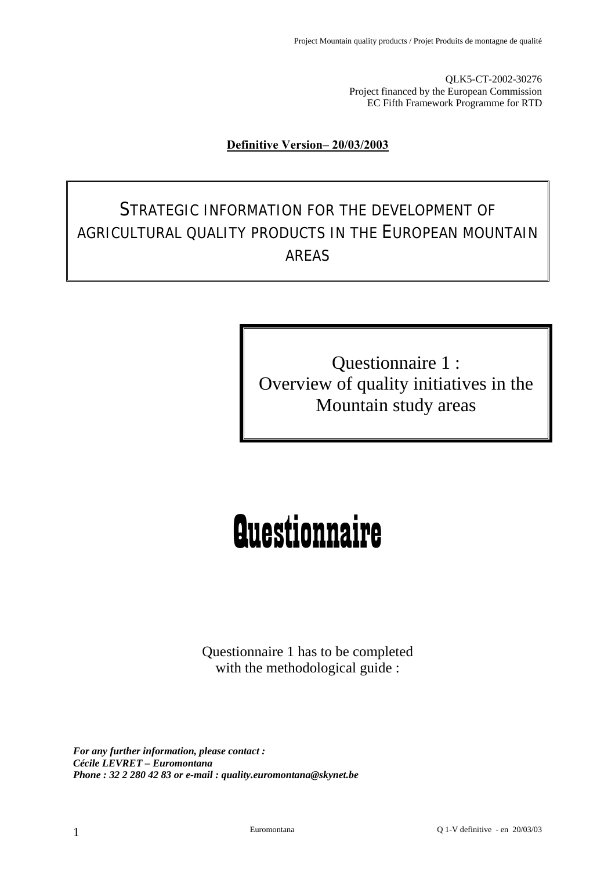QLK5-CT-2002-30276 Project financed by the European Commission EC Fifth Framework Programme for RTD

#### <sup>U</sup>**Definitive Version– 20/03/2003**

# STRATEGIC INFORMATION FOR THE DEVELOPMENT OF AGRICULTURAL QUALITY PRODUCTS IN THE EUROPEAN MOUNTAIN AREAS

Questionnaire 1 : Overview of quality initiatives in the Mountain study areas

# **Questionnaire**

Questionnaire 1 has to be completed with the methodological guide :

*For any further information, please contact : Cécile LEVRET – Euromontana Phone : 32 2 280 42 83 or e-mail : quality.euromontana@skynet.be*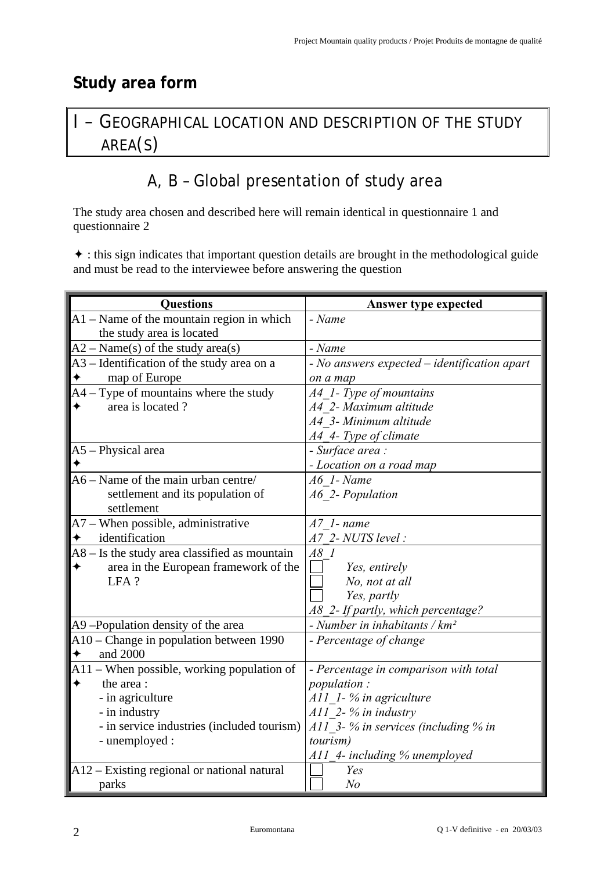## **Study area form**

# I – GEOGRAPHICAL LOCATION AND DESCRIPTION OF THE STUDY AREA(S)

# A, B – Global presentation of study area

The study area chosen and described here will remain identical in questionnaire 1 and questionnaire 2

 $\triangle$  : this sign indicates that important question details are brought in the methodological guide and must be read to the interviewee before answering the question

| <b>Questions</b>                                    | <b>Answer type expected</b>                  |
|-----------------------------------------------------|----------------------------------------------|
| A1 - Name of the mountain region in which           | - Name                                       |
| the study area is located                           |                                              |
| $A2 - Name(s)$ of the study area(s)                 | - Name                                       |
| A3 – Identification of the study area on a          | - No answers expected – identification apart |
| map of Europe                                       | on a map                                     |
| A4 – Type of mountains where the study              | A4 1- Type of mountains                      |
| area is located?<br>✦                               | A4 2- Maximum altitude                       |
|                                                     | A4 3- Minimum altitude                       |
|                                                     | A4 4- Type of climate                        |
| A5 - Physical area                                  | - Surface area :                             |
|                                                     | - Location on a road map                     |
| $A6 - Name$ of the main urban centre/               | $A6$ 1- Name                                 |
| settlement and its population of<br>settlement      | A6 2- Population                             |
| A7 – When possible, administrative                  | $A7$ 1- name                                 |
| identification                                      | A7 2- NUTS level:                            |
| A8 – Is the study area classified as mountain       | A8 1                                         |
| area in the European framework of the               | Yes, entirely                                |
| LFA?                                                | No, not at all                               |
|                                                     | Yes, partly                                  |
|                                                     | A8 2- If partly, which percentage?           |
| A9-Population density of the area                   | - Number in inhabitants / $km^2$             |
| A10 – Change in population between 1990<br>and 2000 | - Percentage of change                       |
| A11 – When possible, working population of          | - Percentage in comparison with total        |
| ✦<br>the area:                                      | <i>population:</i>                           |
| - in agriculture                                    | A11 1-% in agriculture                       |
| - in industry                                       | $A11$ 2- % in industry                       |
| - in service industries (included tourism)          | A11 3- $%$ in services (including $%$ in     |
| - unemployed :                                      | <i>tourism</i> )                             |
|                                                     | A11_4- including % unemployed                |
| A12 – Existing regional or national natural         | Yes                                          |
| parks                                               | N <sub>o</sub>                               |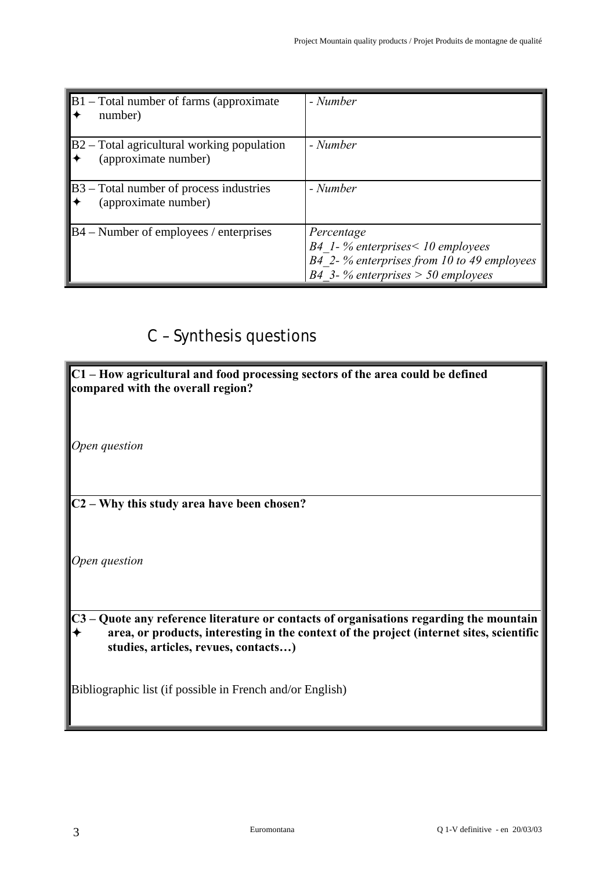| $\mathbf{B}1$ – Total number of farms (approximate<br>number)                 | - Number                                                                                                                                |
|-------------------------------------------------------------------------------|-----------------------------------------------------------------------------------------------------------------------------------------|
| $\mathbf{B}2$ – Total agricultural working population<br>(approximate number) | - Number                                                                                                                                |
| $B3 - Total number of process industries$<br>(approximate number)             | - Number                                                                                                                                |
| $BA$ – Number of employees / enterprises                                      | Percentage<br>$B4$ 1-% enterprises < 10 employees<br>B4 2-% enterprises from 10 to 49 employees<br>B4 3- % enterprises $>$ 50 employees |

# C – Synthesis questions

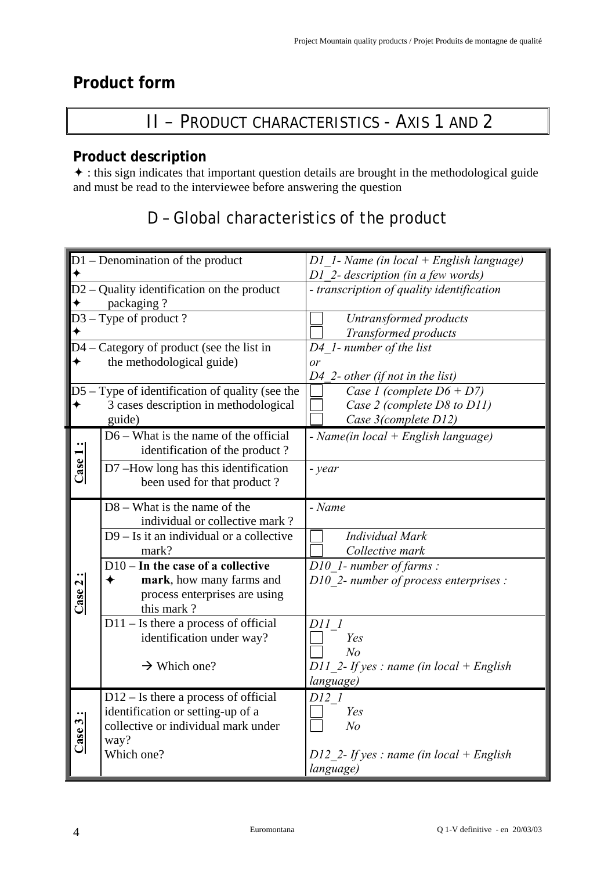## **Product form**

# II – PRODUCT CHARACTERISTICS - AXIS 1 AND 2

## **Product description**

 $\triangle$  : this sign indicates that important question details are brought in the methodological guide and must be read to the interviewee before answering the question

# D – Global characteristics of the product

|         | D1 - Denomination of the product                                             | $DI$ 1- Name (in local + English language) |
|---------|------------------------------------------------------------------------------|--------------------------------------------|
|         |                                                                              | D1 2- description (in a few words)         |
|         | $D2 -$ Quality identification on the product                                 | - transcription of quality identification  |
|         | packaging?                                                                   |                                            |
|         | $D3 - Type$ of product?                                                      | Untransformed products                     |
|         |                                                                              | Transformed products                       |
|         | $D4 - \text{Category of product}$ (see the list in                           | D4 1- number of the list                   |
|         | the methodological guide)                                                    | or                                         |
|         |                                                                              | $D4$ 2- other (if not in the list)         |
|         | $\overline{D5}$ - Type of identification of quality (see the                 | Case 1 (complete $D6 + D7$ )               |
| ✦       | 3 cases description in methodological                                        | Case 2 (complete D8 to D11)                |
|         | guide)                                                                       | Case 3(complete D12)                       |
|         | $D6 - What is the name of the official$                                      | - Name(in local + English language)        |
| Case 1: | identification of the product?                                               |                                            |
|         | D7-How long has this identification                                          | - year                                     |
|         | been used for that product?                                                  |                                            |
|         |                                                                              |                                            |
|         | $D8 - What$ is the name of the                                               | - Name                                     |
|         | individual or collective mark?<br>$D9 - Is$ it an individual or a collective | <b>Individual Mark</b>                     |
|         | mark?                                                                        |                                            |
|         | $\overline{D10} - \overline{In}$ the case of a collective                    | Collective mark                            |
|         | ✦                                                                            | D10 1- number of farms :                   |
|         | mark, how many farms and                                                     | D10 2- number of process enterprises :     |
| Case 2: | process enterprises are using<br>this mark?                                  |                                            |
|         | $D11 - Is$ there a process of official                                       | D11 1                                      |
|         | identification under way?                                                    | Yes                                        |
|         |                                                                              | N <sub>o</sub>                             |
|         | $\rightarrow$ Which one?                                                     | D11 2- If yes : name (in local + English   |
|         |                                                                              | language)                                  |
|         | $D12 - Is$ there a process of official                                       | D12 1                                      |
|         | identification or setting-up of a                                            | Yes                                        |
|         | collective or individual mark under                                          | N <sub>o</sub>                             |
| Case 3: | way?                                                                         |                                            |
|         | Which one?                                                                   | D12 2- If yes : name (in local + English   |
|         |                                                                              | language)                                  |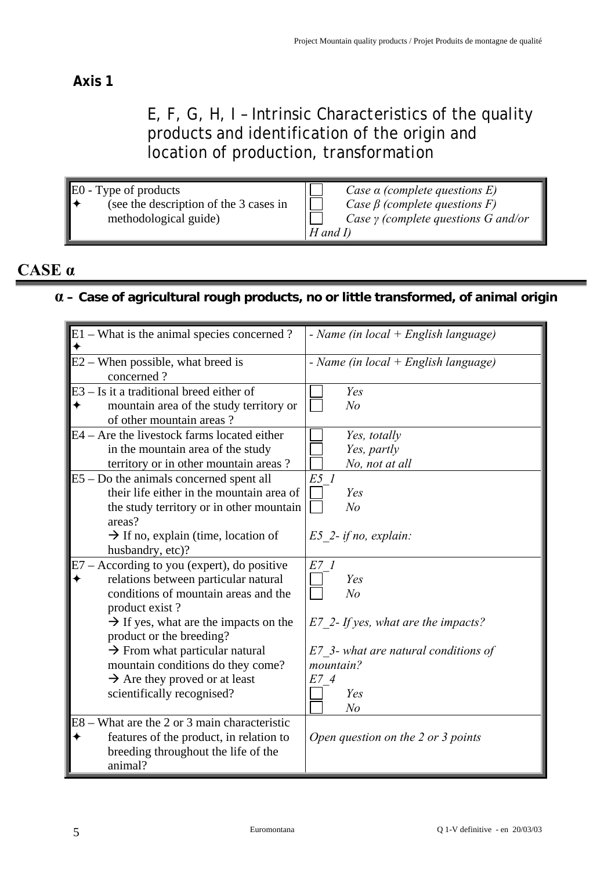## **Axis 1**

## E, F, G, H, I – Intrinsic Characteristics of the quality products and identification of the origin and location of production, transformation

| E0 - Type of products<br>(see the description of the 3 cases in | Case $\alpha$ (complete questions E)<br>Case $\beta$ (complete questions F) |
|-----------------------------------------------------------------|-----------------------------------------------------------------------------|
| methodological guide)                                           | Case $\gamma$ (complete questions G and/or                                  |
|                                                                 | $H$ and $I$ )                                                               |

## **CASE α**

## **α – Case of agricultural rough products, no or little transformed, of animal origin**

| $E1 - What is the animal species concerned?$                                                                                                                                                                                                                                                                                                                                                 | - Name (in local $+$ English language)                                                                                                                      |
|----------------------------------------------------------------------------------------------------------------------------------------------------------------------------------------------------------------------------------------------------------------------------------------------------------------------------------------------------------------------------------------------|-------------------------------------------------------------------------------------------------------------------------------------------------------------|
| $E2 -$ When possible, what breed is<br>concerned?                                                                                                                                                                                                                                                                                                                                            | - Name (in $local + English language$ )                                                                                                                     |
| E3 - Is it a traditional breed either of<br>mountain area of the study territory or<br>of other mountain areas?                                                                                                                                                                                                                                                                              | Yes<br>N <sub>o</sub>                                                                                                                                       |
| $E4 -$ Are the livestock farms located either<br>in the mountain area of the study<br>territory or in other mountain areas?                                                                                                                                                                                                                                                                  | Yes, totally<br>Yes, partly<br>No, not at all                                                                                                               |
| $E5 - Do$ the animals concerned spent all<br>their life either in the mountain area of<br>the study territory or in other mountain<br>areas?<br>$\rightarrow$ If no, explain (time, location of<br>husbandry, etc)?                                                                                                                                                                          | E5 1<br>Yes<br>N <sub>o</sub><br>$E5$ 2-if no, explain:                                                                                                     |
| E7 - According to you (expert), do positive<br>relations between particular natural<br>conditions of mountain areas and the<br>product exist?<br>$\rightarrow$ If yes, what are the impacts on the<br>product or the breeding?<br>$\rightarrow$ From what particular natural<br>mountain conditions do they come?<br>$\rightarrow$ Are they proved or at least<br>scientifically recognised? | E7 1<br>Yes<br>N <sub>o</sub><br>$E7$ 2- If yes, what are the impacts?<br>E7 3- what are natural conditions of<br>mountain?<br>E74<br>Yes<br>N <sub>o</sub> |
| E8 – What are the 2 or 3 main characteristic<br>features of the product, in relation to<br>breeding throughout the life of the<br>animal?                                                                                                                                                                                                                                                    | Open question on the 2 or 3 points                                                                                                                          |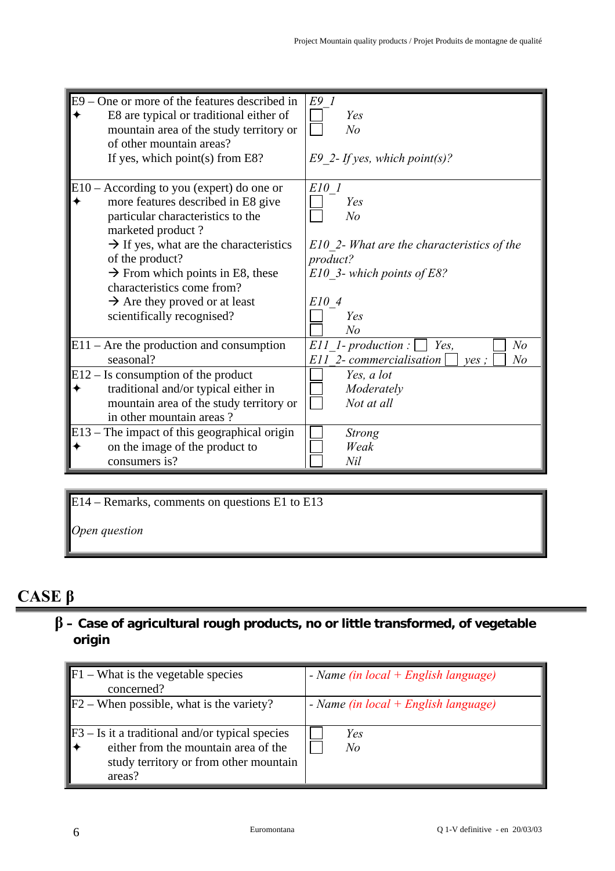| $E9$ – One or more of the features described in<br>E8 are typical or traditional either of<br>mountain area of the study territory or<br>of other mountain areas?<br>If yes, which point(s) from E8?                                                                                                                                                                          | E9 1<br>Yes<br>N <sub>o</sub><br>E9 2- If yes, which point(s)?                                                                                             |
|-------------------------------------------------------------------------------------------------------------------------------------------------------------------------------------------------------------------------------------------------------------------------------------------------------------------------------------------------------------------------------|------------------------------------------------------------------------------------------------------------------------------------------------------------|
| $E10 -$ According to you (expert) do one or<br>more features described in E8 give<br>particular characteristics to the<br>marketed product?<br>$\rightarrow$ If yes, what are the characteristics<br>of the product?<br>$\rightarrow$ From which points in E8, these<br>characteristics come from?<br>$\rightarrow$ Are they proved or at least<br>scientifically recognised? | E10 1<br>Yes<br>N <sub>o</sub><br>$E10$ 2- What are the characteristics of the<br>product?<br>E10 3- which points of E8?<br>E10 4<br>Yes<br>N <sub>o</sub> |
| $E11$ – Are the production and consumption<br>seasonal?                                                                                                                                                                                                                                                                                                                       | N <sub>o</sub><br>$E11$ 1-production :<br>Yes,<br>E11 2- commercialisation<br>$N$ o<br>yes;                                                                |
| $E12 - Is consumption of the product$<br>traditional and/or typical either in<br>mountain area of the study territory or<br>in other mountain areas?                                                                                                                                                                                                                          | Yes, a lot<br>Moderately<br>Not at all                                                                                                                     |
| $E13$ – The impact of this geographical origin<br>on the image of the product to<br>consumers is?                                                                                                                                                                                                                                                                             | <b>Strong</b><br>Weak<br>Nil                                                                                                                               |

E14 – Remarks, comments on questions E1 to E13

*Open question* 

# **CASE β**

## **β – Case of agricultural rough products, no or little transformed, of vegetable origin**

| $\blacktriangleright$ F1 – What is the vegetable species<br>concerned?                                                                        | - Name (in $local + English language$ ) |
|-----------------------------------------------------------------------------------------------------------------------------------------------|-----------------------------------------|
| $\blacktriangleright$ F2 – When possible, what is the variety?                                                                                | - Name (in $local + English language$ ) |
| $F3 - Is it a traditional and/or typical species$<br>either from the mountain area of the<br>study territory or from other mountain<br>areas? | Yes<br>N <sub>o</sub>                   |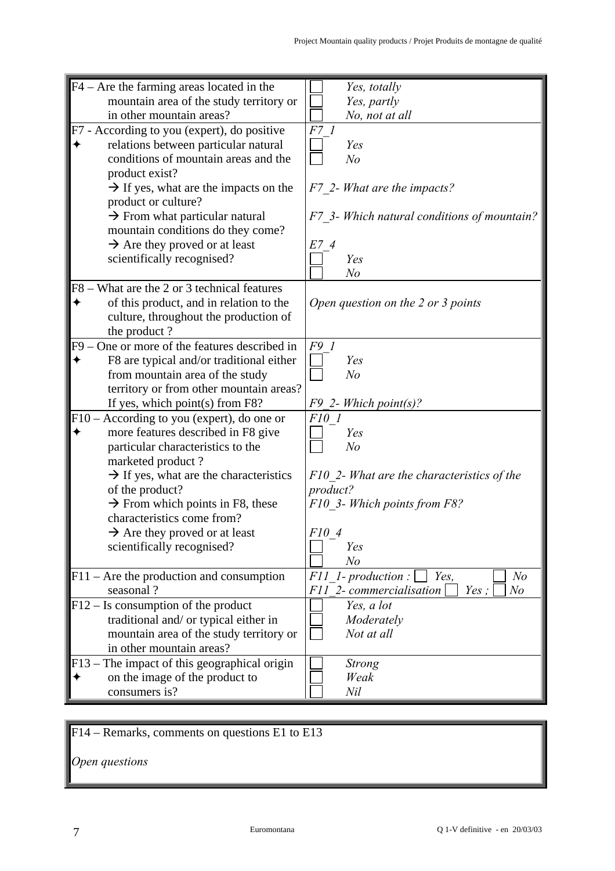| $F4 -$ Are the farming areas located in the        | Yes, totally                                |
|----------------------------------------------------|---------------------------------------------|
| mountain area of the study territory or            | Yes, partly                                 |
| in other mountain areas?                           | No, not at all                              |
| F7 - According to you (expert), do positive        | F7 1                                        |
| relations between particular natural               | Yes                                         |
| conditions of mountain areas and the               | N <sub>o</sub>                              |
| product exist?                                     |                                             |
| $\rightarrow$ If yes, what are the impacts on the  | F7 2- What are the impacts?                 |
| product or culture?                                |                                             |
|                                                    |                                             |
| $\rightarrow$ From what particular natural         | F7 3- Which natural conditions of mountain? |
| mountain conditions do they come?                  |                                             |
| $\rightarrow$ Are they proved or at least          | E7 4                                        |
| scientifically recognised?                         | Yes                                         |
|                                                    | N <sub>o</sub>                              |
| F8 – What are the 2 or 3 technical features        |                                             |
| of this product, and in relation to the            | Open question on the 2 or 3 points          |
| culture, throughout the production of              |                                             |
| the product?                                       |                                             |
| $F9 - One$ or more of the features described in    | F9 1                                        |
| F8 are typical and/or traditional either           | Yes                                         |
| from mountain area of the study                    | N <sub>o</sub>                              |
|                                                    |                                             |
| territory or from other mountain areas?            |                                             |
| If yes, which point(s) from F8?                    | $F9$ 2- Which point(s)?                     |
| $F10 - According to you (expert), do one or$       | F10 1                                       |
| more features described in F8 give                 | Yes                                         |
| particular characteristics to the                  | N <sub>o</sub>                              |
| marketed product?                                  |                                             |
| $\rightarrow$ If yes, what are the characteristics | F10 2- What are the characteristics of the  |
| of the product?                                    | product?                                    |
| $\rightarrow$ From which points in F8, these       | F10 3- Which points from F8?                |
| characteristics come from?                         |                                             |
| $\rightarrow$ Are they proved or at least          | F10 4                                       |
| scientifically recognised?                         | Yes                                         |
|                                                    | N <sub>o</sub>                              |
|                                                    | N <sub>o</sub><br>Yes,                      |
| $F11$ – Are the production and consumption         | $F11$ 1-production:                         |
| seasonal?                                          | F11 2-commercialisation<br>Yes;<br>No       |
| $F12 - Is consumption of the product$              | Yes, a lot                                  |
| traditional and/ or typical either in              | Moderately                                  |
| mountain area of the study territory or            | Not at all                                  |
| in other mountain areas?                           |                                             |
| $F13$ – The impact of this geographical origin     | Strong                                      |
| on the image of the product to                     | Weak                                        |
| consumers is?                                      | Nil                                         |
|                                                    |                                             |

F14 – Remarks, comments on questions E1 to E13

*Open questions*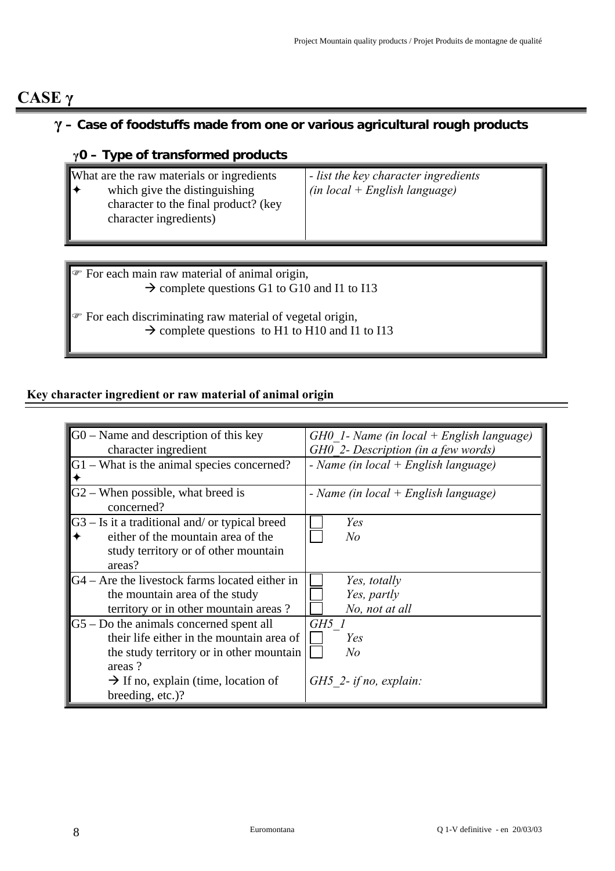## **CASE γ**

## **γ – Case of foodstuffs made from one or various agricultural rough products**

## **γ0 – Type of transformed products**

| What are the raw materials or ingredients<br>which give the distinguishing<br>character to the final product? (key<br>character ingredients) | - list the key character ingredients<br>$(in local + English language)$ |
|----------------------------------------------------------------------------------------------------------------------------------------------|-------------------------------------------------------------------------|
|----------------------------------------------------------------------------------------------------------------------------------------------|-------------------------------------------------------------------------|

 $\mathcal F$  For each main raw material of animal origin,  $\rightarrow$  complete questions G1 to G10 and I1 to I13

) For each discriminating raw material of vegetal origin,  $\rightarrow$  complete questions to H1 to H10 and I1 to I13

#### **Key character ingredient or raw material of animal origin**

| $G0$ – Name and description of this key           | $GHO$ 1- Name (in local + English language) |
|---------------------------------------------------|---------------------------------------------|
| character ingredient                              | GH0 2- Description (in a few words)         |
| G1 – What is the animal species concerned?        | - Name (in $local + English language$ )     |
| $G2$ – When possible, what breed is<br>concerned? | - Name (in local $+$ English language)      |
| $G3 - Is$ it a traditional and/ or typical breed  | Yes                                         |
| either of the mountain area of the                | No                                          |
| study territory or of other mountain              |                                             |
| areas?                                            |                                             |
| $G4 -$ Are the livestock farms located either in  | Yes, totally                                |
| the mountain area of the study                    | Yes, partly                                 |
| territory or in other mountain areas?             | No, not at all                              |
| $G5 - Do$ the animals concerned spent all         | GH5 1                                       |
| their life either in the mountain area of         | Yes                                         |
| the study territory or in other mountain          | No                                          |
| areas?                                            |                                             |
| $\rightarrow$ If no, explain (time, location of   | $GH5$ 2- if no, explain:                    |
| breeding, etc.)?                                  |                                             |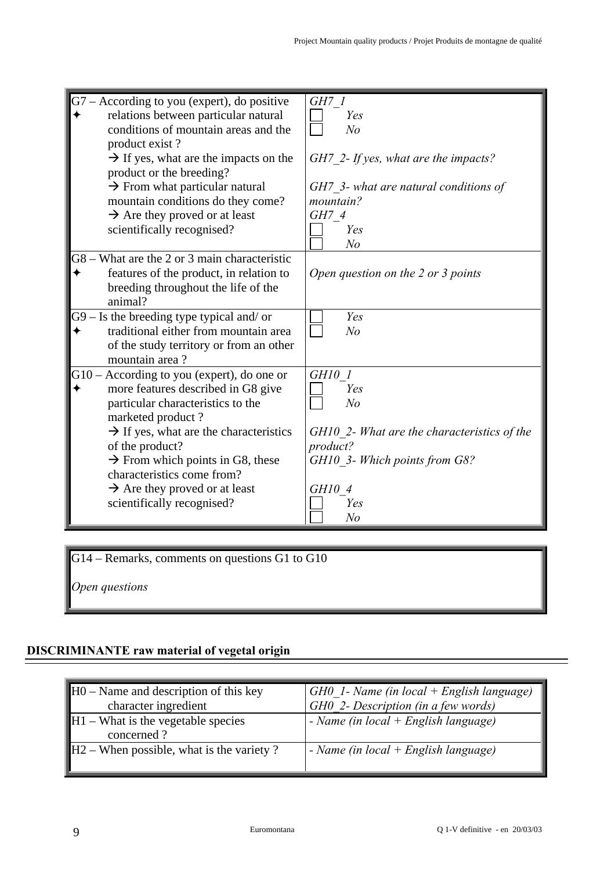| $G7 - According to you (expert), do positive$<br>relations between particular natural<br>conditions of mountain areas and the<br>product exist?<br>$\rightarrow$ If yes, what are the impacts on the<br>product or the breeding?<br>$\rightarrow$ From what particular natural<br>mountain conditions do they come?<br>$\rightarrow$ Are they proved or at least | GH7 1<br>Yes<br>N <sub>o</sub><br>$GH7$ 2- If yes, what are the impacts?<br>GH7 3- what are natural conditions of<br>mountain?<br>GH7 4 |
|------------------------------------------------------------------------------------------------------------------------------------------------------------------------------------------------------------------------------------------------------------------------------------------------------------------------------------------------------------------|-----------------------------------------------------------------------------------------------------------------------------------------|
| scientifically recognised?                                                                                                                                                                                                                                                                                                                                       | Yes<br>N <sub>o</sub>                                                                                                                   |
| G8 – What are the 2 or 3 main characteristic<br>features of the product, in relation to<br>breeding throughout the life of the<br>animal?                                                                                                                                                                                                                        | Open question on the 2 or 3 points                                                                                                      |
| $G9 - Is$ the breeding type typical and/ or<br>traditional either from mountain area<br>of the study territory or from an other<br>mountain area?                                                                                                                                                                                                                | Yes<br>N <sub>o</sub>                                                                                                                   |
| $G10$ – According to you (expert), do one or<br>more features described in G8 give<br>particular characteristics to the<br>marketed product?<br>$\rightarrow$ If yes, what are the characteristics<br>of the product?<br>$\rightarrow$ From which points in G8, these                                                                                            | GH10 1<br>Yes<br>N <sub>o</sub><br>GH10 2- What are the characteristics of the<br>product?<br>GH10 3- Which points from G8?             |
| characteristics come from?<br>$\rightarrow$ Are they proved or at least<br>scientifically recognised?                                                                                                                                                                                                                                                            | GH10 4<br>Yes<br>N <sub>o</sub>                                                                                                         |

G14 – Remarks, comments on questions G1 to G10

*Open questions* 

#### **DISCRIMINANTE raw material of vegetal origin**

| $H0$ – Name and description of this key<br>character ingredient | $GH0$ 1- Name (in local + English language)<br>GH0 2- Description (in a few words) |
|-----------------------------------------------------------------|------------------------------------------------------------------------------------|
| $\parallel$ H1 – What is the vegetable species<br>concerned?    | - Name (in local $+$ English language)                                             |
| $\parallel$ H2 – When possible, what is the variety ?           | $\sim$ Name (in local + English language)                                          |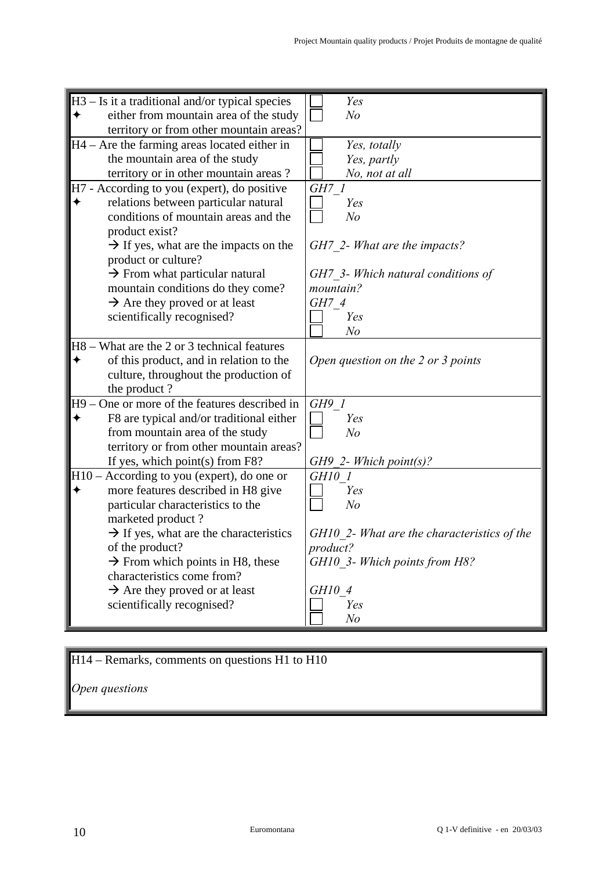| $H3 - Is$ it a traditional and/or typical species  | Yes                                                            |
|----------------------------------------------------|----------------------------------------------------------------|
| either from mountain area of the study             | N <sub>o</sub>                                                 |
| territory or from other mountain areas?            |                                                                |
| $H4 -$ Are the farming areas located either in     | Yes, totally                                                   |
| the mountain area of the study                     | Yes, partly                                                    |
| territory or in other mountain areas?              | No, not at all                                                 |
| H7 - According to you (expert), do positive        | GH7 1                                                          |
| relations between particular natural               | Yes                                                            |
| conditions of mountain areas and the               | N <sub>o</sub>                                                 |
|                                                    |                                                                |
| product exist?                                     |                                                                |
| $\rightarrow$ If yes, what are the impacts on the  | GH7 2- What are the impacts?                                   |
| product or culture?                                |                                                                |
| $\rightarrow$ From what particular natural         | GH7 3- Which natural conditions of                             |
| mountain conditions do they come?                  | mountain?                                                      |
| $\rightarrow$ Are they proved or at least          | GH7 4                                                          |
| scientifically recognised?                         | Yes                                                            |
|                                                    | N <sub>o</sub>                                                 |
| H8 – What are the 2 or 3 technical features        |                                                                |
| of this product, and in relation to the            | Open question on the 2 or 3 points                             |
| culture, throughout the production of              |                                                                |
| the product?                                       |                                                                |
| One or more of the features described in<br>H9     | GH91                                                           |
| F8 are typical and/or traditional either           | Yes                                                            |
| from mountain area of the study                    | N <sub>o</sub>                                                 |
| territory or from other mountain areas?            |                                                                |
| If yes, which point(s) from F8?                    | $GH9$ 2- Which point(s)?                                       |
| H10 - According to you (expert), do one or         | GH10 1                                                         |
| more features described in H8 give                 | Yes                                                            |
| particular characteristics to the                  | N <sub>o</sub>                                                 |
| marketed product?                                  |                                                                |
|                                                    |                                                                |
| $\rightarrow$ If yes, what are the characteristics | GH10 2- What are the characteristics of the<br><i>product?</i> |
| of the product?                                    |                                                                |
| $\rightarrow$ From which points in H8, these       | GH10 3- Which points from H8?                                  |
| characteristics come from?                         |                                                                |
| $\rightarrow$ Are they proved or at least          | GH10 4                                                         |
| scientifically recognised?                         | Yes                                                            |
|                                                    | N <sub>o</sub>                                                 |

## H14 – Remarks, comments on questions H1 to H10

*Open questions*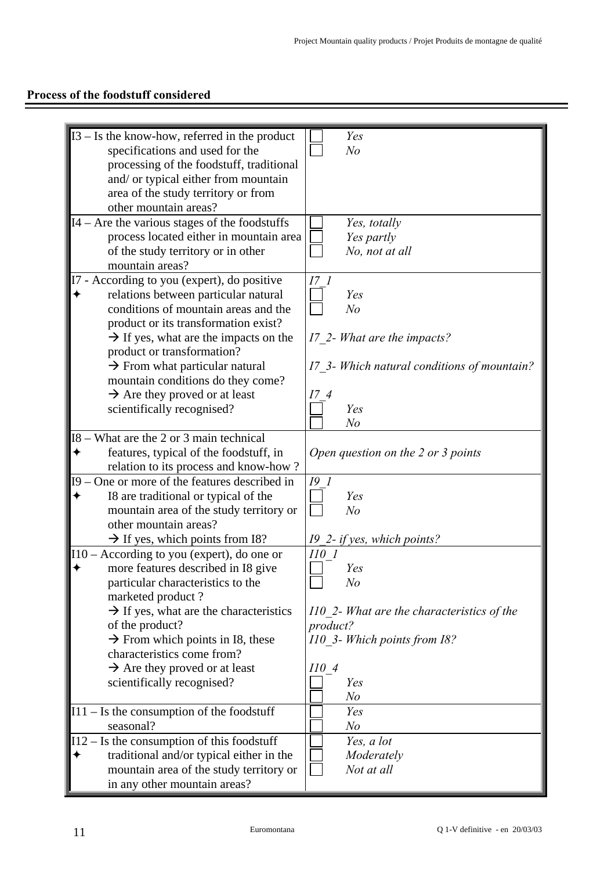## **Process of the foodstuff considered**

| $I3 - Is$ the know-how, referred in the product    | Yes                                         |
|----------------------------------------------------|---------------------------------------------|
| specifications and used for the                    | N <sub>o</sub>                              |
|                                                    |                                             |
| processing of the foodstuff, traditional           |                                             |
| and/ or typical either from mountain               |                                             |
| area of the study territory or from                |                                             |
| other mountain areas?                              |                                             |
|                                                    |                                             |
| I4 – Are the various stages of the foodstuffs      | Yes, totally                                |
| process located either in mountain area            | Yes partly                                  |
| of the study territory or in other                 | No, not at all                              |
| mountain areas?                                    |                                             |
|                                                    |                                             |
| I7 - According to you (expert), do positive        |                                             |
| relations between particular natural               | Yes                                         |
| conditions of mountain areas and the               | No                                          |
| product or its transformation exist?               |                                             |
| $\rightarrow$ If yes, what are the impacts on the  |                                             |
|                                                    | 17 2- What are the impacts?                 |
| product or transformation?                         |                                             |
| $\rightarrow$ From what particular natural         | I7 3- Which natural conditions of mountain? |
| mountain conditions do they come?                  |                                             |
| $\rightarrow$ Are they proved or at least          | 174                                         |
|                                                    | Yes                                         |
| scientifically recognised?                         |                                             |
|                                                    | N <sub>o</sub>                              |
| - What are the 2 or 3 main technical<br><b>I8</b>  |                                             |
| features, typical of the foodstuff, in             | Open question on the 2 or 3 points          |
| relation to its process and know-how?              |                                             |
|                                                    |                                             |
| - One or more of the features described in<br>19   | $I9$ 1                                      |
| I8 are traditional or typical of the               | Yes                                         |
| mountain area of the study territory or            | N <sub>o</sub>                              |
| other mountain areas?                              |                                             |
| $\rightarrow$ If yes, which points from I8?        | 19_2- if yes, which points?                 |
|                                                    |                                             |
| $110 - According to you (expert), do one or$       | $II0$ 1                                     |
| more features described in I8 give                 | Yes                                         |
| particular characteristics to the                  | $N\!o$                                      |
| marketed product?                                  |                                             |
| $\rightarrow$ If yes, what are the characteristics | 110 2- What are the characteristics of the  |
|                                                    |                                             |
| of the product?                                    | product?                                    |
| $\rightarrow$ From which points in I8, these       | 110 3- Which points from 18?                |
| characteristics come from?                         |                                             |
| $\rightarrow$ Are they proved or at least          | 1104                                        |
|                                                    |                                             |
| scientifically recognised?                         | Yes                                         |
|                                                    | N <sub>o</sub>                              |
| $I11 - Is the consumption of the food stuff$       | Yes                                         |
| seasonal?                                          | N <sub>o</sub>                              |
| $I12 - Is$ the consumption of this foodstuff       | Yes, a lot                                  |
|                                                    |                                             |
| traditional and/or typical either in the           | Moderately                                  |
| mountain area of the study territory or            | Not at all                                  |
| in any other mountain areas?                       |                                             |
|                                                    |                                             |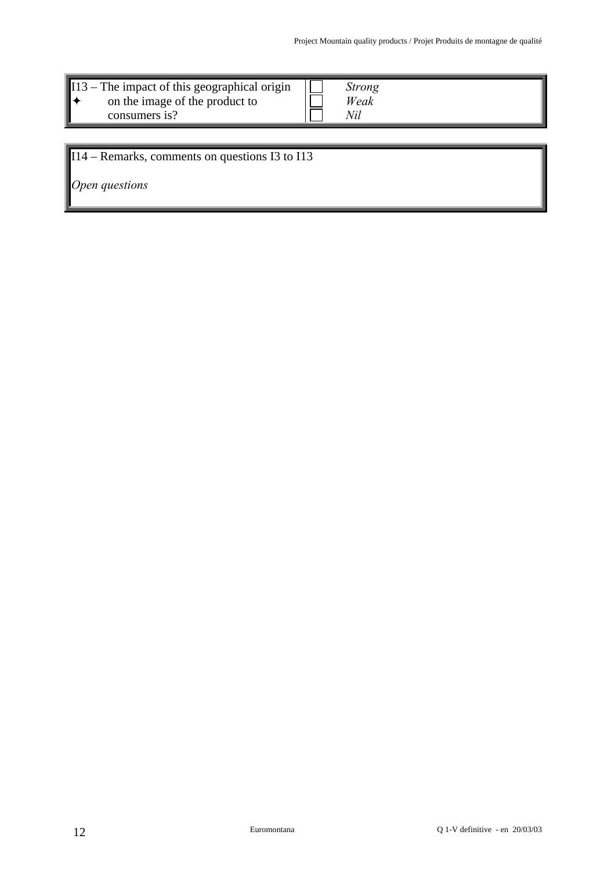| $\blacksquare$ 113 – The impact of this geographical origin<br>on the image of the product to<br>consumers is? |  | Strong<br>Weak |
|----------------------------------------------------------------------------------------------------------------|--|----------------|
|                                                                                                                |  |                |

## I14 – Remarks, comments on questions I3 to I13

*Open questions*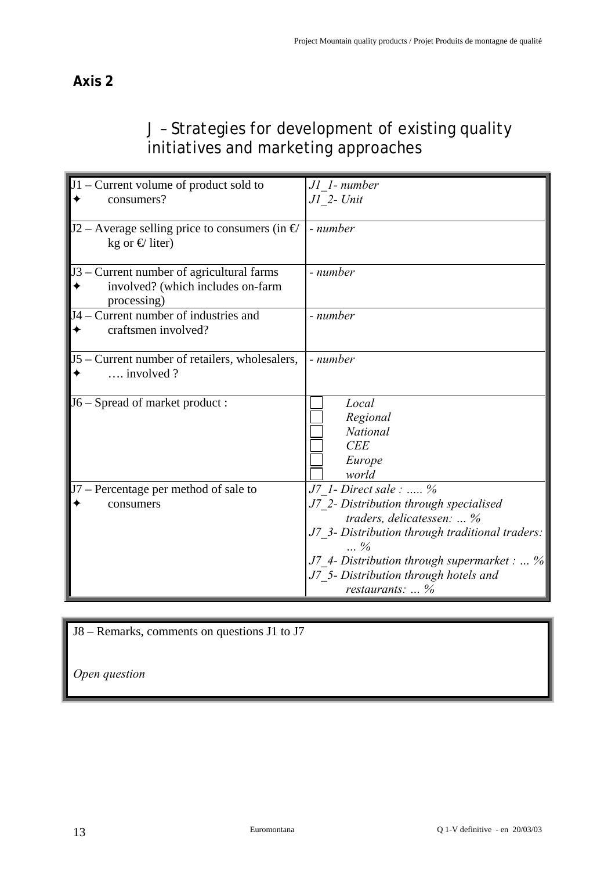## J – Strategies for development of existing quality initiatives and marketing approaches

| $J1$ – Current volume of product sold to<br>consumers?                                        | J1 1- number<br>$JI$ 2- $Unit$                                                                                                                                                                                                                                                |
|-----------------------------------------------------------------------------------------------|-------------------------------------------------------------------------------------------------------------------------------------------------------------------------------------------------------------------------------------------------------------------------------|
| J2 – Average selling price to consumers (in $\epsilon$ )<br>kg or $\bigoplus$ liter)          | - number                                                                                                                                                                                                                                                                      |
| J3 – Current number of agricultural farms<br>involved? (which includes on-farm<br>processing) | - number                                                                                                                                                                                                                                                                      |
| J4 – Current number of industries and<br>craftsmen involved?                                  | - number                                                                                                                                                                                                                                                                      |
| J5 – Current number of retailers, wholesalers,<br>$\ldots$ involved ?                         | - number                                                                                                                                                                                                                                                                      |
| J6 – Spread of market product :                                                               | Local<br>Regional<br>National<br><b>CEE</b><br>Europe<br>world                                                                                                                                                                                                                |
| J7 - Percentage per method of sale to<br>consumers                                            | J7 1- Direct sale :  %<br>J7 2- Distribution through specialised<br>traders, delicatessen:  %<br>J7 3- Distribution through traditional traders:<br>$\frac{6}{10}$<br>J7 4- Distribution through supermarket :  %<br>J7 5- Distribution through hotels and<br>restaurants:  % |

| J8 – Remarks, comments on questions J1 to J7 |  |
|----------------------------------------------|--|
| Open question                                |  |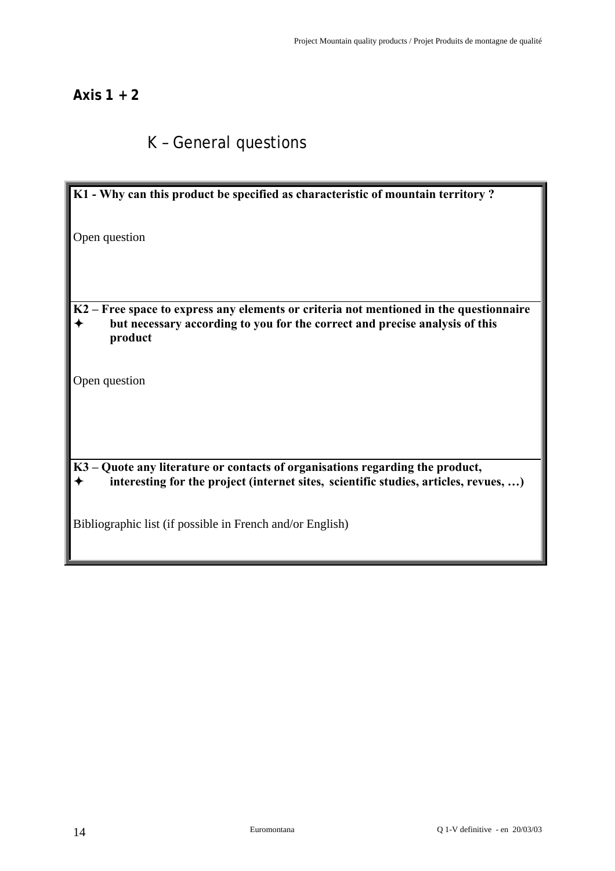## **Axis 1 + 2**

# K – General questions

| K1 - Why can this product be specified as characteristic of mountain territory?                                                                                                  |
|----------------------------------------------------------------------------------------------------------------------------------------------------------------------------------|
|                                                                                                                                                                                  |
| Open question                                                                                                                                                                    |
|                                                                                                                                                                                  |
|                                                                                                                                                                                  |
| K2 – Free space to express any elements or criteria not mentioned in the questionnaire<br>but necessary according to you for the correct and precise analysis of this<br>product |
|                                                                                                                                                                                  |
| Open question                                                                                                                                                                    |
|                                                                                                                                                                                  |
|                                                                                                                                                                                  |
|                                                                                                                                                                                  |
| K3 – Quote any literature or contacts of organisations regarding the product,<br>interesting for the project (internet sites, scientific studies, articles, revues, )            |
| Bibliographic list (if possible in French and/or English)                                                                                                                        |
|                                                                                                                                                                                  |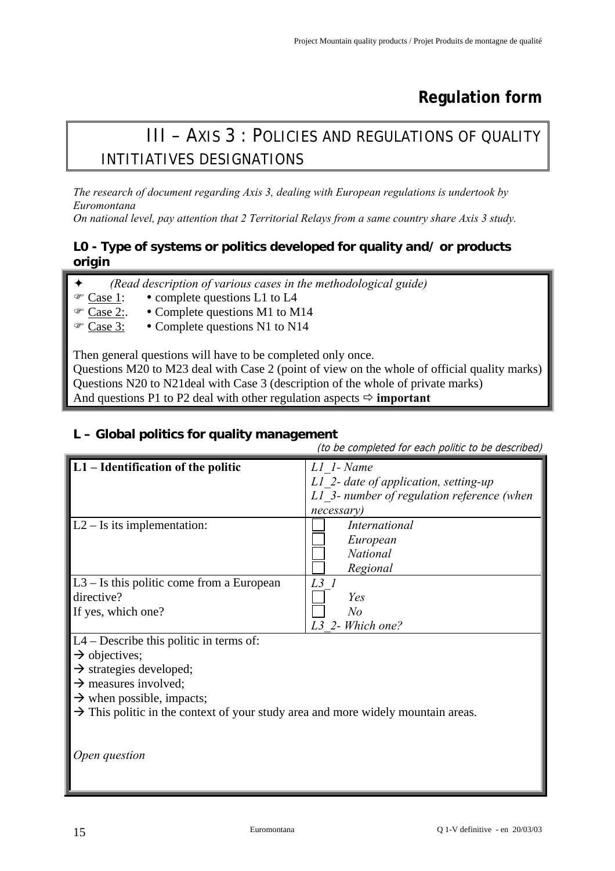# **Regulation form**

# III – AXIS 3 : POLICIES AND REGULATIONS OF QUALITY INTITIATIVES DESIGNATIONS

*The research of document regarding Axis 3, dealing with European regulations is undertook by Euromontana* 

*On national level, pay attention that 2 Territorial Relays from a same country share Axis 3 study.* 

## **L0 - Type of systems or politics developed for quality and/ or products origin**

|  |  | (Read description of various cases in the methodological guide) |  |
|--|--|-----------------------------------------------------------------|--|
|  |  |                                                                 |  |

- $\infty$  Case 1: complete questions L1 to L4
- $\mathcal{F}$  Case 2:  $\bullet$  Complete questions M1 to M14
- Case 3: Complete questions N1 to N14

Then general questions will have to be completed only once.

Questions M20 to M23 deal with Case 2 (point of view on the whole of official quality marks) Questions N20 to N21deal with Case 3 (description of the whole of private marks) And questions P1 to P2 deal with other regulation aspects  $\Rightarrow$  **important** 

## **L – Global politics for quality management**

(to be completed for each politic to be described) **L1 – Identification of the politic** *L1\_1- Name L1\_2- date of application, setting-up L1\_3- number of regulation reference (when necessary)*  L2 – Is its implementation: *International European National Regional*  L3 – Is this politic come from a European directive? If yes, which one? *L3\_1 Yes No L3\_2- Which one?*  L4 – Describe this politic in terms of:  $\rightarrow$  objectives;  $\rightarrow$  strategies developed;  $\rightarrow$  measures involved;  $\rightarrow$  when possible, impacts;  $\rightarrow$  This politic in the context of your study area and more widely mountain areas. *Open question*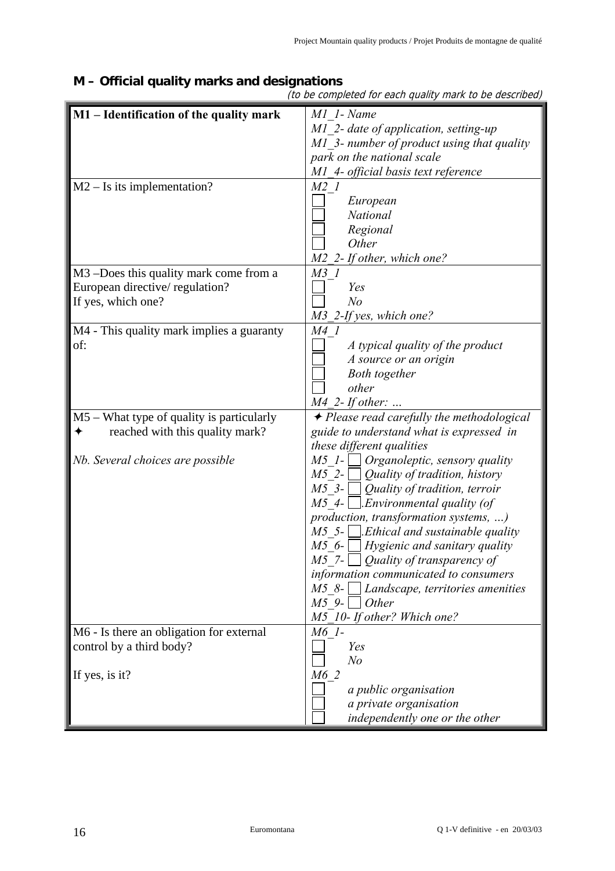| M1 - Identification of the quality mark   | M1 1- Name                                             |
|-------------------------------------------|--------------------------------------------------------|
|                                           |                                                        |
|                                           | M1 2- date of application, setting-up                  |
|                                           | M1 3- number of product using that quality             |
|                                           | park on the national scale                             |
|                                           | M1 4- official basis text reference                    |
| $M2 - Is$ its implementation?             | $M2$ 1                                                 |
|                                           | European                                               |
|                                           | National                                               |
|                                           | Regional                                               |
|                                           | Other                                                  |
|                                           | M2 2- If other, which one?                             |
| M3 -Does this quality mark come from a    | $M3$ 1                                                 |
| European directive/regulation?            | Yes                                                    |
| If yes, which one?                        | N <sub>o</sub>                                         |
|                                           | M3_2-If yes, which one?                                |
| M4 - This quality mark implies a guaranty | M4 1                                                   |
| of:                                       | A typical quality of the product                       |
|                                           | A source or an origin                                  |
|                                           | <b>Both</b> together                                   |
|                                           | other                                                  |
|                                           | $M4$ 2- If other:                                      |
| M5 – What type of quality is particularly | $\rightarrow$ Please read carefully the methodological |
| reached with this quality mark?<br>✦      | guide to understand what is expressed in               |
|                                           | these different qualities                              |
| Nb. Several choices are possible          | $M5$ 1- $\Box$ Organoleptic, sensory quality           |
|                                           | $M5$ 2-<br>Quality of tradition, history               |
|                                           | $M5$ 3- $\Box$ Quality of tradition, terroir           |
|                                           | $M5$ 4- $\Box$ . <i>Environmental quality (of</i>      |
|                                           | production, transformation systems, )                  |
|                                           | $M5$ 5-     Ethical and sustainable quality            |
|                                           | $M5$ 6- Hygienic and sanitary quality                  |
|                                           | $M5$ 7-<br>Quality of transparency of                  |
|                                           | information communicated to consumers                  |
|                                           | $M5$ 8- Landscape, territories amenities               |
|                                           | $M59-$ -    <br>Other                                  |
|                                           | M5 10- If other? Which one?                            |
| M6 - Is there an obligation for external  | $M6$ 1-                                                |
| control by a third body?                  | Yes                                                    |
|                                           | N <sub>o</sub>                                         |
| If yes, is it?                            | M6 2                                                   |
|                                           | a public organisation                                  |
|                                           | a private organisation                                 |
|                                           | independently one or the other                         |
|                                           |                                                        |

## **M – Official quality marks and designations**

(to be completed for each quality mark to be described)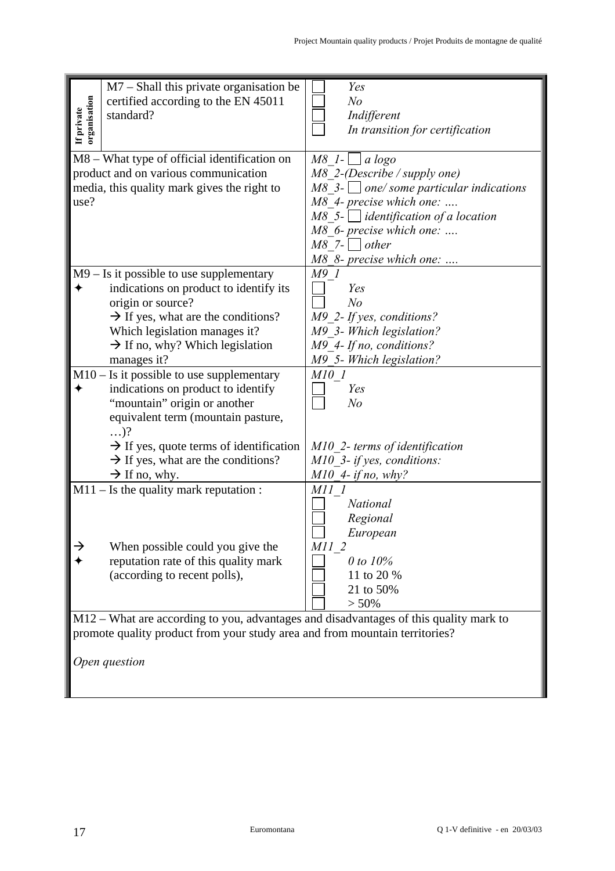| $M7$ – Shall this private organisation be<br>organisation<br>certified according to the EN 45011<br>If private<br>standard?<br>M8 - What type of official identification on                                                                                                                                 | Yes<br>N <sub>o</sub><br>Indifferent<br>In transition for certification<br>$M8$ 1- $\Box a \log o$                                                                                                                                   |
|-------------------------------------------------------------------------------------------------------------------------------------------------------------------------------------------------------------------------------------------------------------------------------------------------------------|--------------------------------------------------------------------------------------------------------------------------------------------------------------------------------------------------------------------------------------|
| product and on various communication<br>media, this quality mark gives the right to<br>use?                                                                                                                                                                                                                 | $M8$ 2-(Describe / supply one)<br>$M8$ 3- $\Box$ one/ some particular indications<br>M8 4- precise which one:<br>$M8$ 5-   identification of a location<br>M8 6- precise which one:<br>$M8$ 7-     other<br>M8 8- precise which one: |
| $M9 - Is$ it possible to use supplementary<br>indications on product to identify its<br>origin or source?<br>$\rightarrow$ If yes, what are the conditions?<br>Which legislation manages it?<br>$\rightarrow$ If no, why? Which legislation<br>manages it?                                                  | <i>M9 1</i><br>Yes<br>N <sub>o</sub><br>M9 2- If yes, conditions?<br>M9 3- Which legislation?<br>M9 4- If no, conditions?<br>M9 5- Which legislation?                                                                                |
| $M10 - Is$ it possible to use supplementary<br>indications on product to identify<br>"mountain" origin or another<br>equivalent term (mountain pasture,<br>$\ldots$ ?<br>$\rightarrow$ If yes, quote terms of identification<br>$\rightarrow$ If yes, what are the conditions?<br>$\rightarrow$ If no, why. | M10 1<br>Yes<br>N <sub>o</sub><br>M10 2- terms of identification<br>M10 3- if yes, conditions:<br>$M10$ 4- if no, why?                                                                                                               |
| $M11 - Is$ the quality mark reputation :<br>When possible could you give the<br>reputation rate of this quality mark<br>(according to recent polls),                                                                                                                                                        | M11 1<br><b>National</b><br>Regional<br>European<br>M11 2<br>0 to 10%<br>11 to 20 %<br>21 to 50%<br>$> 50\%$                                                                                                                         |
| M12 - What are according to you, advantages and disadvantages of this quality mark to<br>promote quality product from your study area and from mountain territories?<br>Open question                                                                                                                       |                                                                                                                                                                                                                                      |
| Euromontana                                                                                                                                                                                                                                                                                                 | Q 1-V definitive - en 20/03/03                                                                                                                                                                                                       |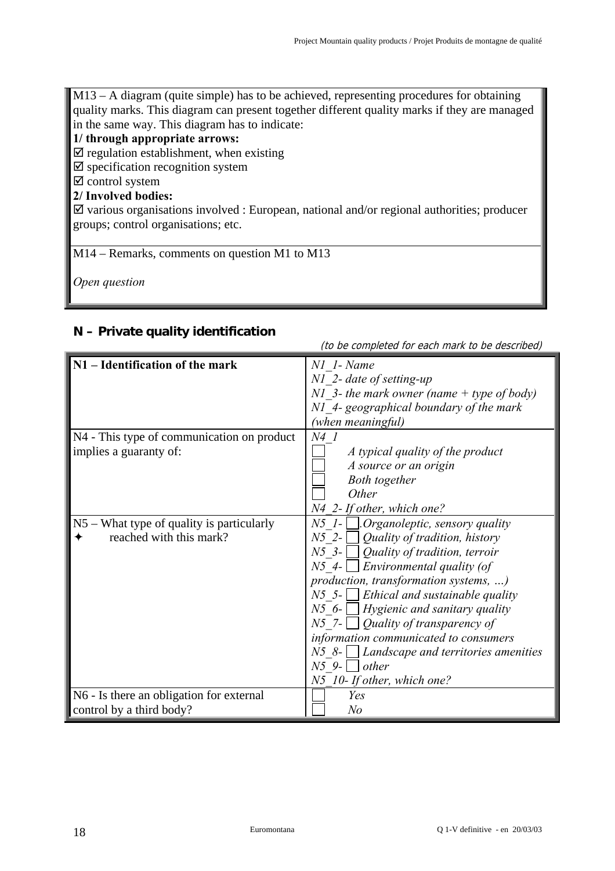M13 – A diagram (quite simple) has to be achieved, representing procedures for obtaining quality marks. This diagram can present together different quality marks if they are managed in the same way. This diagram has to indicate:

#### **1/ through appropriate arrows:**

 $\triangledown$  regulation establishment, when existing

- $\boxtimes$  specification recognition system
- $\boxtimes$  control system

#### **2/ Involved bodies:**

 $\boxtimes$  various organisations involved : European, national and/or regional authorities; producer groups; control organisations; etc.

M14 – Remarks, comments on question M1 to M13

*Open question* 

#### **N – Private quality identification**

|                                             | (10 De completed for each mark to be described) |
|---------------------------------------------|-------------------------------------------------|
| N1 - Identification of the mark             | N1 1- Name                                      |
|                                             | $NI$ 2- date of setting-up                      |
|                                             | N1 3- the mark owner (name $+$ type of body)    |
|                                             | N1 4- geographical boundary of the mark         |
|                                             | (when meaningful)                               |
| N4 - This type of communication on product  | N4 1                                            |
| implies a guaranty of:                      | A typical quality of the product                |
|                                             | A source or an origin                           |
|                                             | <b>Both</b> together                            |
|                                             | Other                                           |
|                                             | N4 2- If other, which one?                      |
| $N5$ – What type of quality is particularly | $N5$ 1- $\Box$ . Organoleptic, sensory quality  |
| reached with this mark?                     | $N5$ 2- $\Box$ Quality of tradition, history    |
|                                             | $N5$ 3- $\bigcup$ Quality of tradition, terroir |
|                                             | Environmental quality (of<br>$N5$ 4- $\Box$     |
|                                             | production, transformation systems, )           |
|                                             | $N5$ 5- <b>Ethical and sustainable quality</b>  |
|                                             | $N5$ 6- $\Box$ Hygienic and sanitary quality    |
|                                             | $N5$ 7- $\Box$ Quality of transparency of       |
|                                             | information communicated to consumers           |
|                                             | $N5$ 8- Landscape and territories amenities     |
|                                             | $N5$ 9- $\vert$ other                           |
|                                             | N5 10- If other, which one?                     |
| N6 - Is there an obligation for external    | Yes                                             |
| control by a third body?                    | N <sub>o</sub>                                  |

(to be completed for each mark to be described)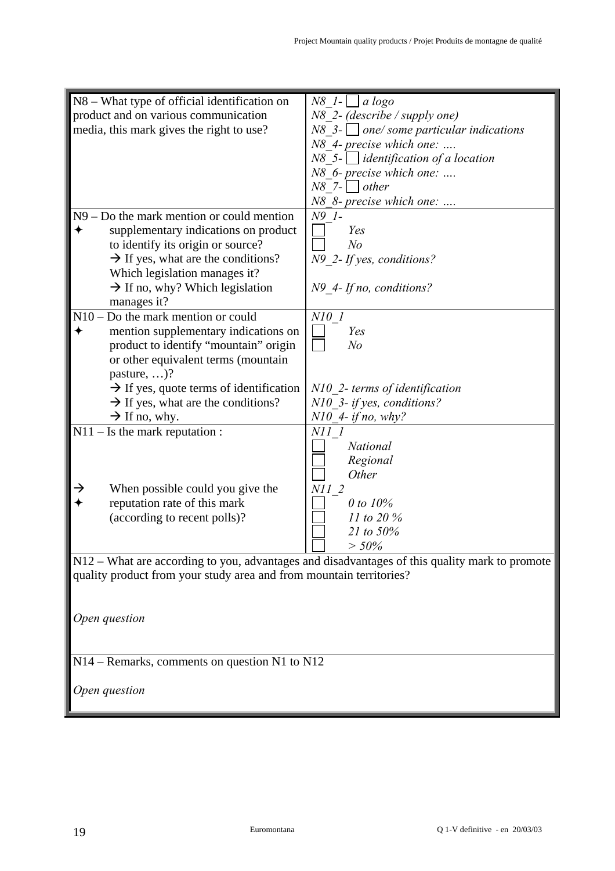| N8 – What type of official identification on                        | $N8$ 1- $\Box a \log o$                                                                       |
|---------------------------------------------------------------------|-----------------------------------------------------------------------------------------------|
| product and on various communication                                | $N8$ 2- (describe / supply one)                                                               |
| media, this mark gives the right to use?                            | $N8$ 3- $\Box$ one/ some particular indications                                               |
|                                                                     | N8 4- precise which one:                                                                      |
|                                                                     | $N8$ 5- identification of a location                                                          |
|                                                                     | N8 6- precise which one:                                                                      |
|                                                                     | $N8$ 7- $\Box$ other                                                                          |
|                                                                     |                                                                                               |
|                                                                     | N8 8- precise which one:                                                                      |
| $N9 - Do$ the mark mention or could mention                         | N9 1-                                                                                         |
| supplementary indications on product                                | Yes                                                                                           |
| to identify its origin or source?                                   | N <sub>o</sub>                                                                                |
| $\rightarrow$ If yes, what are the conditions?                      | N9 2- If yes, conditions?                                                                     |
| Which legislation manages it?                                       |                                                                                               |
| $\rightarrow$ If no, why? Which legislation                         | $N9_4$ - If no, conditions?                                                                   |
| manages it?                                                         |                                                                                               |
| $N10 - Do$ the mark mention or could                                | $N10$ 1                                                                                       |
| mention supplementary indications on                                | Yes                                                                                           |
| product to identify "mountain" origin                               | N <sub>o</sub>                                                                                |
| or other equivalent terms (mountain                                 |                                                                                               |
| pasture, $\ldots$ ?                                                 |                                                                                               |
| $\rightarrow$ If yes, quote terms of identification                 | N10 2- terms of identification                                                                |
| $\rightarrow$ If yes, what are the conditions?                      | N10 3- if yes, conditions?                                                                    |
| $\rightarrow$ If no, why.                                           | $N10$ 4- if no, why?                                                                          |
| $N11 - Is the mark reputation:$                                     | <i>N11 1</i>                                                                                  |
|                                                                     | <b>National</b>                                                                               |
|                                                                     |                                                                                               |
|                                                                     | Regional<br>Other                                                                             |
|                                                                     |                                                                                               |
| →<br>When possible could you give the                               | $NII_2$                                                                                       |
| reputation rate of this mark                                        | 0 to 10%                                                                                      |
| (according to recent polls)?                                        | 11 to 20 $%$                                                                                  |
|                                                                     | 21 to 50%                                                                                     |
|                                                                     | $> 50\%$                                                                                      |
|                                                                     | N12 – What are according to you, advantages and disadvantages of this quality mark to promote |
| quality product from your study area and from mountain territories? |                                                                                               |
|                                                                     |                                                                                               |
|                                                                     |                                                                                               |
| Open question                                                       |                                                                                               |
|                                                                     |                                                                                               |
|                                                                     |                                                                                               |
| N14 – Remarks, comments on question N1 to N12                       |                                                                                               |
|                                                                     |                                                                                               |
| Open question                                                       |                                                                                               |
|                                                                     |                                                                                               |
|                                                                     |                                                                                               |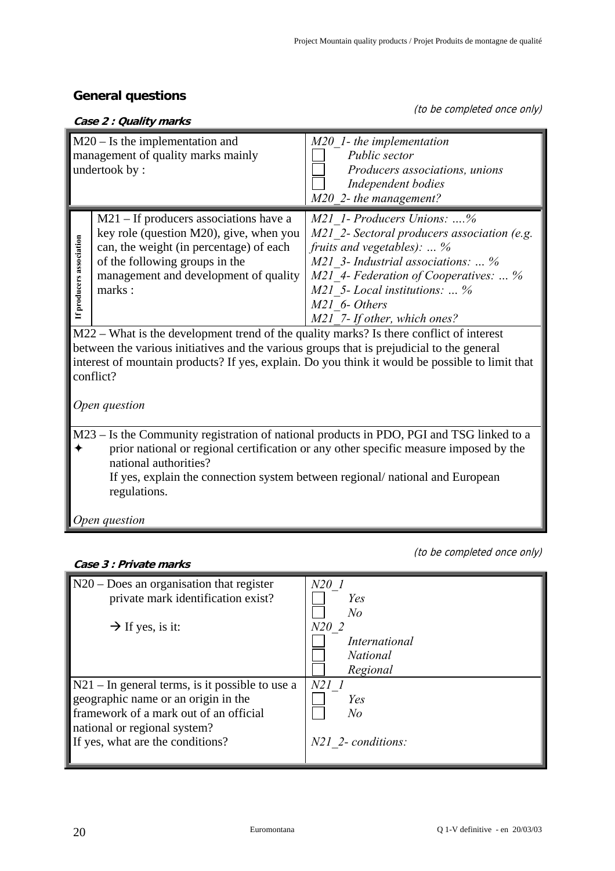#### **General questions**

(to be completed once only)

| $M20 - Is$ the implementation and<br>management of quality marks mainly                                                                                                                                                                                                                                                                                                                                                                                                                                                                                 |                                                                                                                                                                                                                                                                                    |  |  |
|---------------------------------------------------------------------------------------------------------------------------------------------------------------------------------------------------------------------------------------------------------------------------------------------------------------------------------------------------------------------------------------------------------------------------------------------------------------------------------------------------------------------------------------------------------|------------------------------------------------------------------------------------------------------------------------------------------------------------------------------------------------------------------------------------------------------------------------------------|--|--|
| undertook by:                                                                                                                                                                                                                                                                                                                                                                                                                                                                                                                                           | $M20$ 1- the implementation<br>Public sector<br>Producers associations, unions<br>Independent bodies<br>M20 2- the management?                                                                                                                                                     |  |  |
| $M21 - If$ producers associations have a<br>key role (question M20), give, when you<br>If producers association<br>can, the weight (in percentage) of each<br>of the following groups in the<br>management and development of quality<br>marks:<br>M22 – What is the development trend of the quality marks? Is there conflict of interest<br>between the various initiatives and the various groups that is prejudicial to the general<br>interest of mountain products? If yes, explain. Do you think it would be possible to limit that<br>conflict? | M21 1- Producers Unions: %<br>M21 2- Sectoral producers association (e.g.<br>fruits and vegetables): $\ldots$ %<br>M21 3- Industrial associations:  %<br>M21 4- Federation of Cooperatives:  %<br>$M21$ 5- Local institutions:  %<br>M21 6- Others<br>M21 7- If other, which ones? |  |  |
| Open question                                                                                                                                                                                                                                                                                                                                                                                                                                                                                                                                           |                                                                                                                                                                                                                                                                                    |  |  |
| M23 – Is the Community registration of national products in PDO, PGI and TSG linked to a<br>prior national or regional certification or any other specific measure imposed by the<br>national authorities?<br>If yes, explain the connection system between regional/national and European<br>regulations.<br>Open question                                                                                                                                                                                                                             |                                                                                                                                                                                                                                                                                    |  |  |

#### **Case 3 : Private marks**

(to be completed once only)